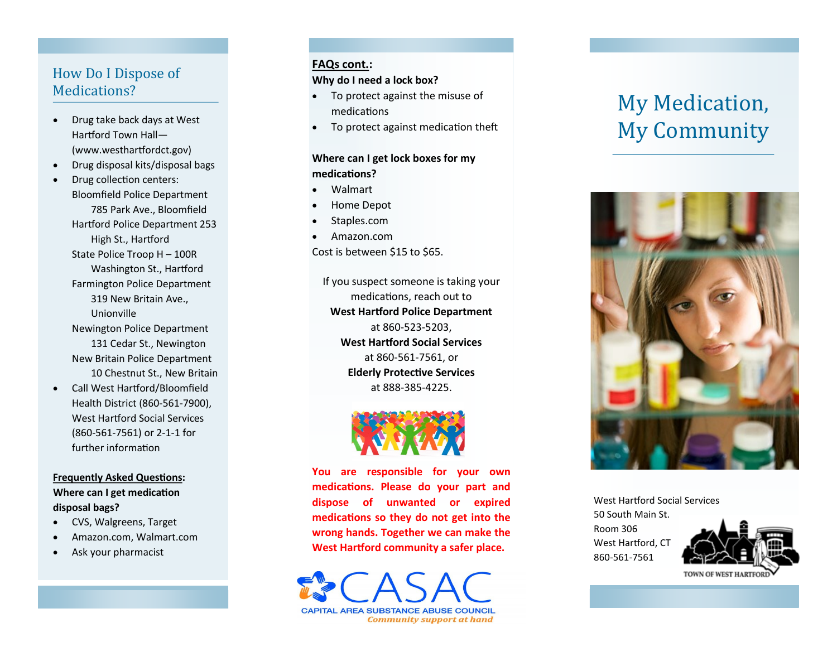## How Do I Dispose of Medications?

- Drug take back days at West Hartford Town Hall — (www.westhartfordct.gov)
- Drug disposal kits/disposal bags
- Drug collection centers: Bloomfield Police Department 785 Park Ave., Bloomfield Hartford Police Department 253 High St., Hartford State Police Troop H – 100R Washington St., Hartford Farmington Police Department 319 New Britain Ave., Unionville Newington Police Department 131 Cedar St., Newington New Britain Police Department 10 Chestnut St., New Britain
- Call West Hartford/Bloomfield Health District (860 -561 -7900), West Hartford Social Services (860 -561 -7561) or 2 - 1 -1 for further information

#### **Frequently Asked Questions : Where can I get medication disposal bags?**

- CVS, Walgreens, Target
- Amazon.com, Walmart.com
- Ask your pharmacist

#### **FAQs cont. :**

#### **Why do I need a lock box?**

- To protect against the misuse of medications
- To protect against medication theft

## **Where can I get lock boxes for my medications?**

- Walmart
- Home Depot
- Staples.com
- Amazon.com

Cost is between \$15 to \$65.

If you suspect someone is taking your medications, reach out to **West Hartford Police Department**  at 860 -523 -5203, **West Hartford Social Services** at 860 -561 -7561, or **Elderly Protective Services** at 888 -385 -4225.



**You are responsible for your own medications. Please do your part and dispose of unwanted or expired medications so they do not get into the wrong hands. Together we can make the West Hartford community a safer place.** 

**CAPITAL AREA SUBSTANCE ABUSE COUNCIL Community support at hand** 

# My Medication, My Community



West Hartford Social Services 50 South Main St. Room 306 West Hartford, CT 860 -561 -7561